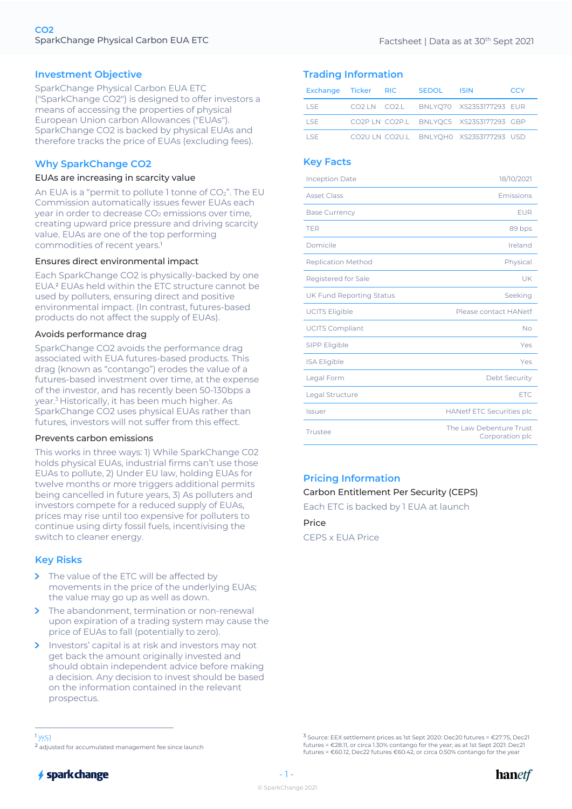## **Investment Objective**

SparkChange Physical Carbon EUA ETC ("SparkChange CO2") is designed to offer investors a means of accessing the properties of physical European Union carbon Allowances ("EUAs"). SparkChange CO2 is backed by physical EUAs and therefore tracks the price of EUAs (excluding fees).

## **Why SparkChange CO2**

### EUAs are increasing in scarcity value

An EUA is a "permit to pollute 1 tonne of  $CO<sub>2</sub>$ ". The EU Commission automatically issues fewer EUAs each year in order to decrease CO<sub>2</sub> emissions over time. creating upward price pressure and driving scarcity value. EUAs are one of the top performing commodities of recent years.1

#### Ensures direct environmental impact

Each SparkChange CO2 is physically-backed by one EUA.2 EUAs held within the ETC structure cannot be used by polluters, ensuring direct and positive environmental impact. (In contrast, futures-based products do not affect the supply of EUAs).

#### Avoids performance drag

SparkChange CO2 avoids the performance drag associated with EUA futures-based products. This drag (known as "contango") erodes the value of a futures-based investment over time, at the expense of the investor, and has recently been 50-130bps a year.3 Historically, it has been much higher. As SparkChange CO2 uses physical EUAs rather than futures, investors will not suffer from this effect.

#### Prevents carbon emissions

This works in three ways: 1) While SparkChange C02 holds physical EUAs, industrial firms can't use those EUAs to pollute, 2) Under EU law, holding EUAs for twelve months or more triggers additional permits being cancelled in future years, 3) As polluters and investors compete for a reduced supply of EUAs, prices may rise until too expensive for polluters to continue using dirty fossil fuels, incentivising the switch to cleaner energy.

### **Key Risks**

- > The value of the ETC will be affected by movements in the price of the underlying EUAs; the value may go up as well as down.
- $\rightarrow$ The abandonment, termination or non-renewal upon expiration of a trading system may cause the price of EUAs to fall (potentially to zero).
- $\mathbf{S}$ Investors' capital is at risk and investors may not get back the amount originally invested and should obtain independent advice before making a decision. Any decision to invest should be based on the information contained in the relevant prospectus.

## **Trading Information**

| Exchange Ticker RIC |  | SEDOL ISIN |                                         | CCY |
|---------------------|--|------------|-----------------------------------------|-----|
| LSE -               |  |            | CO2 LN CO2.L BNLYO70 XS2353177293 EUR   |     |
| I SE.               |  |            | CO2P LN CO2P.L BNLYQC5 XS2353177293 GBP |     |
| I SE.               |  |            | CO2ULN CO2U.L BNLYOHO XS2353177293 USD  |     |

## **Key Facts**

| <b>Inception Date</b>           | 18/10/2021                                 |
|---------------------------------|--------------------------------------------|
| <b>Asset Class</b>              | Emissions                                  |
| <b>Base Currency</b>            | <b>EUR</b>                                 |
| <b>TER</b>                      | 89 bps                                     |
| Domicile                        | Ireland                                    |
| <b>Replication Method</b>       | Physical                                   |
| Registered for Sale             | UK                                         |
| <b>UK Fund Reporting Status</b> | Seeking                                    |
| <b>UCITS Eligible</b>           | Please contact HANetf                      |
| <b>UCITS Compliant</b>          | No                                         |
| SIPP Eligible                   | Yes                                        |
| <b>ISA Eligible</b>             | Yes                                        |
| Legal Form                      | <b>Debt Security</b>                       |
| Legal Structure                 | <b>ETC</b>                                 |
| <b>Issuer</b>                   | <b>HANetf ETC Securities plc</b>           |
| Trustee                         | The Law Debenture Trust<br>Corporation plc |

# **Pricing Information**

### Carbon Entitlement Per Security (CEPS)

Each ETC is backed by 1 EUA at launch

Price CEPS x EUA Price

<sup>3</sup> Source: EEX settlement prices as 1st Sept 2020: Dec20 futures = €27.75, Dec21 futures = €28.11, or circa 1.30% contango for the year; as at 1st Sept 2021: Dec21 futures = €60.12, Dec22 futures €60.42, or circa 0.50% contango for the year





<sup>1</sup> WSJ

<sup>2</sup> adjusted for accumulated management fee since launch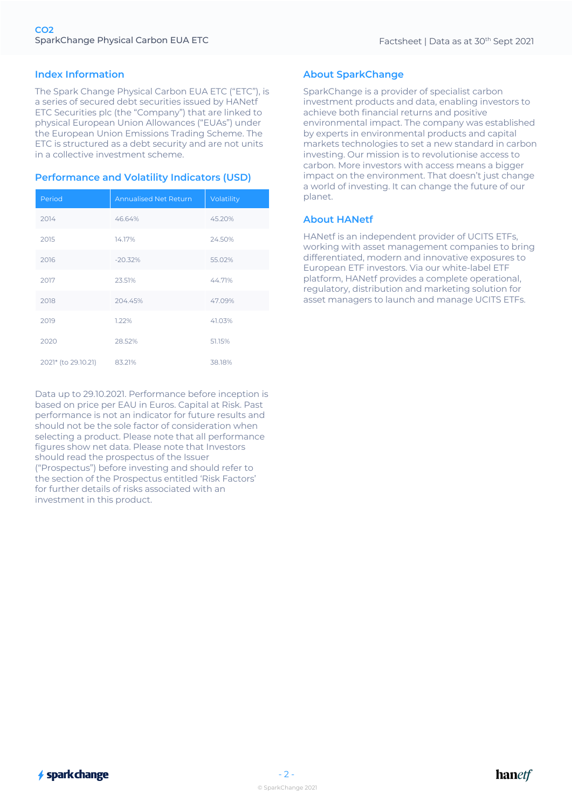## **Index Information**

The Spark Change Physical Carbon EUA ETC ("ETC"), is a series of secured debt securities issued by HANetf ETC Securities plc (the "Company") that are linked to physical European Union Allowances ("EUAs") under the European Union Emissions Trading Scheme. The ETC is structured as a debt security and are not units in a collective investment scheme.

## **Performance and Volatility Indicators (USD)**

| Period              | <b>Annualised Net Return</b> | Volatility |
|---------------------|------------------------------|------------|
| 2014                | 46.64%                       | 45.20%     |
| 2015                | 14.17%                       | 24.50%     |
| 2016                | $-20.32%$                    | 55.02%     |
| 2017                | 23.51%                       | 44.71%     |
| 2018                | 204.45%                      | 47.09%     |
| 2019                | 1.22%                        | 41.03%     |
| 2020                | 28.52%                       | 51.15%     |
| 2021* (to 29.10.21) | 83.21%                       | 38.18%     |

Data up to 29.10.2021. Performance before inception is based on price per EAU in Euros. Capital at Risk. Past performance is not an indicator for future results and should not be the sole factor of consideration when selecting a product. Please note that all performance figures show net data. Please note that Investors should read the prospectus of the Issuer ("Prospectus") before investing and should refer to the section of the Prospectus entitled 'Risk Factors' for further details of risks associated with an investment in this product.

# **About SparkChange**

SparkChange is a provider of specialist carbon investment products and data, enabling investors to achieve both financial returns and positive environmental impact. The company was established by experts in environmental products and capital markets technologies to set a new standard in carbon investing. Our mission is to revolutionise access to carbon. More investors with access means a bigger impact on the environment. That doesn't just change a world of investing. It can change the future of our planet.

## **About HANetf**

HANetf is an independent provider of UCITS ETFs, working with asset management companies to bring differentiated, modern and innovative exposures to European ETF investors. Via our white-label ETF platform, HANetf provides a complete operational, regulatory, distribution and marketing solution for asset managers to launch and manage UCITS ETFs.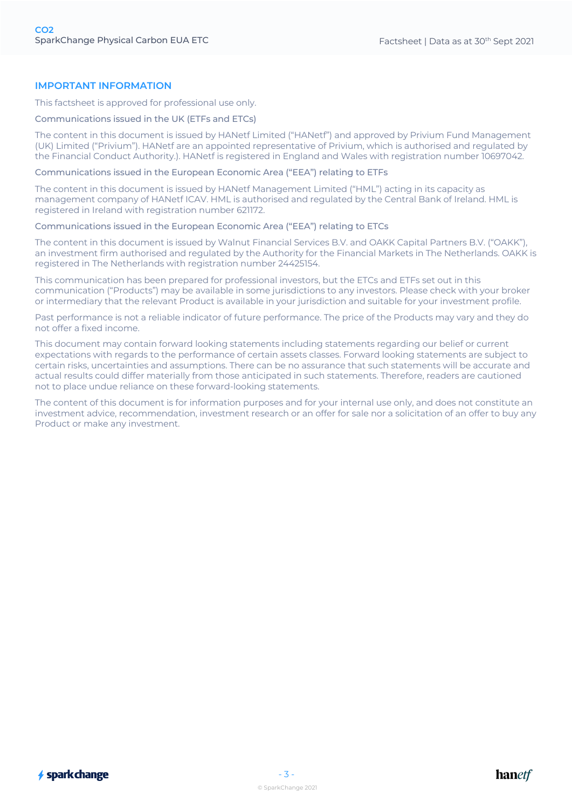## **IMPORTANT INFORMATION**

This factsheet is approved for professional use only.

### Communications issued in the UK (ETFs and ETCs)

The content in this document is issued by HANetf Limited ("HANetf") and approved by Privium Fund Management (UK) Limited ("Privium"). HANetf are an appointed representative of Privium, which is authorised and regulated by the Financial Conduct Authority.). HANetf is registered in England and Wales with registration number 10697042.

Communications issued in the European Economic Area ("EEA") relating to ETFs

The content in this document is issued by HANetf Management Limited ("HML") acting in its capacity as management company of HANetf ICAV. HML is authorised and regulated by the Central Bank of Ireland. HML is registered in Ireland with registration number 621172.

Communications issued in the European Economic Area ("EEA") relating to ETCs

The content in this document is issued by Walnut Financial Services B.V. and OAKK Capital Partners B.V. ("OAKK"), an investment firm authorised and regulated by the Authority for the Financial Markets in The Netherlands. OAKK is registered in The Netherlands with registration number 24425154.

This communication has been prepared for professional investors, but the ETCs and ETFs set out in this communication ("Products") may be available in some jurisdictions to any investors. Please check with your broker or intermediary that the relevant Product is available in your jurisdiction and suitable for your investment profile.

Past performance is not a reliable indicator of future performance. The price of the Products may vary and they do not offer a fixed income.

This document may contain forward looking statements including statements regarding our belief or current expectations with regards to the performance of certain assets classes. Forward looking statements are subject to certain risks, uncertainties and assumptions. There can be no assurance that such statements will be accurate and actual results could differ materially from those anticipated in such statements. Therefore, readers are cautioned not to place undue reliance on these forward-looking statements.

The content of this document is for information purposes and for your internal use only, and does not constitute an investment advice, recommendation, investment research or an offer for sale nor a solicitation of an offer to buy any Product or make any investment.